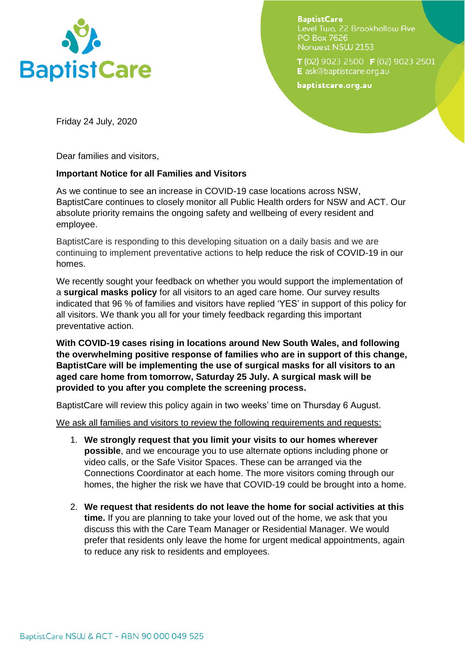

**BaptistCare** Level Two, 22 Brookhollow Ave **PO Box 7626** Norwest NSW 2153

T (02) 9023 2500 F (02) 9023 2501 E ask@baptistcare.org.au

baptistcare.org.au

Friday 24 July, 2020

Dear families and visitors,

## **Important Notice for all Families and Visitors**

As we continue to see an increase in COVID-19 case locations across NSW, BaptistCare continues to closely monitor all Public Health orders for NSW and ACT. Our absolute priority remains the ongoing safety and wellbeing of every resident and employee.

BaptistCare is responding to this developing situation on a daily basis and we are continuing to implement preventative actions to help reduce the risk of COVID-19 in our homes.

We recently sought your feedback on whether you would support the implementation of a **surgical masks policy** for all visitors to an aged care home. Our survey results indicated that 96 % of families and visitors have replied 'YES' in support of this policy for all visitors. We thank you all for your timely feedback regarding this important preventative action.

**With COVID-19 cases rising in locations around New South Wales, and following the overwhelming positive response of families who are in support of this change, BaptistCare will be implementing the use of surgical masks for all visitors to an aged care home from tomorrow, Saturday 25 July. A surgical mask will be provided to you after you complete the screening process.** 

BaptistCare will review this policy again in two weeks' time on Thursday 6 August.

We ask all families and visitors to review the following requirements and requests:

- 1. **We strongly request that you limit your visits to our homes wherever possible**, and we encourage you to use alternate options including phone or video calls, or the Safe Visitor Spaces. These can be arranged via the Connections Coordinator at each home. The more visitors coming through our homes, the higher the risk we have that COVID-19 could be brought into a home.
- 2. **We request that residents do not leave the home for social activities at this time.** If you are planning to take your loved out of the home, we ask that you discuss this with the Care Team Manager or Residential Manager. We would prefer that residents only leave the home for urgent medical appointments, again to reduce any risk to residents and employees.